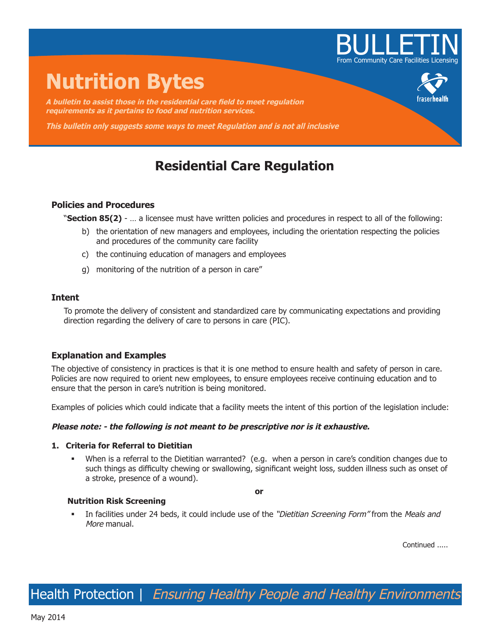

# **Nutrition Bytes**

**A bulletin to assist those in the residential care field to meet regulation requirements as it pertains to food and nutrition services.**

**This bulletin only suggests some ways to meet Regulation and is not all inclusive**

# **Residential Care Regulation**

# **Policies and Procedures**

"**Section 85(2)** - … a licensee must have written policies and procedures in respect to all of the following:

- b) the orientation of new managers and employees, including the orientation respecting the policies and procedures of the community care facility
- c) the continuing education of managers and employees
- g) monitoring of the nutrition of a person in care"

# **Intent**

To promote the delivery of consistent and standardized care by communicating expectations and providing direction regarding the delivery of care to persons in care (PIC).

# **Explanation and Examples**

The objective of consistency in practices is that it is one method to ensure health and safety of person in care. Policies are now required to orient new employees, to ensure employees receive continuing education and to ensure that the person in care's nutrition is being monitored.

Examples of policies which could indicate that a facility meets the intent of this portion of the legislation include:

### **Please note: - the following is not meant to be prescriptive nor is it exhaustive.**

## **1. Criteria for Referral to Dietitian**

When is a referral to the Dietitian warranted? (e.g. when a person in care's condition changes due to such things as difficulty chewing or swallowing, significant weight loss, sudden illness such as onset of a stroke, presence of a wound).

**or** 

#### **Nutrition Risk Screening**

In facilities under 24 beds, it could include use of the "Dietitian Screening Form" from the Meals and More manual.

Continued .....

Health Protection | Ensuring Healthy People and Healthy Environments